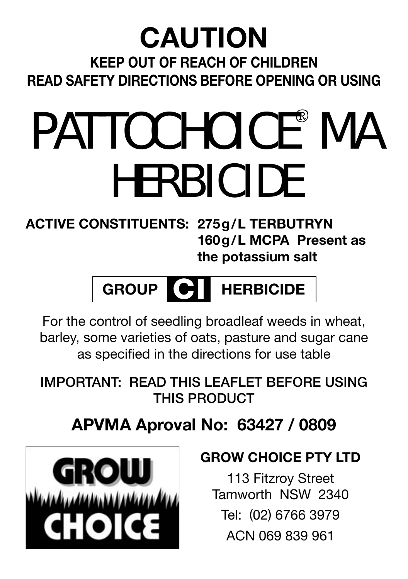#### **KEEP OUT OF REACH OF CHILDREN READ SAFETY DIRECTIONS BEFORE OPENING OR USING CAUTION**

## PATTOCHOICE<sup>®</sup> MA **HERBICIDE**

**ACTIVE CONSTITUENTS: 275g/L TERBUTRYN 160g/L MCPA Present as the potassium salt**

### **GROUP**  $\Theta$  **HERBICIDE**

For the control of seedling broadleaf weeds in wheat, barley, some varieties of oats, pasture and sugar cane as specified in the directions for use table

**IMPORTANT: READ THIS LEAFLET BEFORE USING THIS PRODUCT**

#### **APVMA Aproval No: 63427 / 0809**



#### **GROW CHOICE PTY LTD**

113 Fitzroy Street Tamworth NSW 2340 Tel: (02) 6766 3979 ACN 069 839 961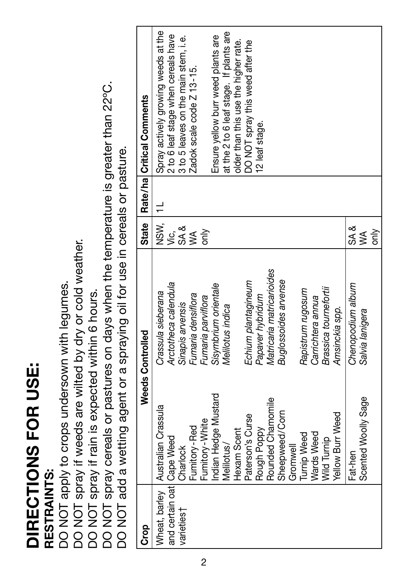## DIRECTIONS FOR USE: **DIRECTIONS FOR USE:**

## RESTRAINTS: **RESTRAINTS:**

DO NOT apply to crops undersown with legumes. DO NOT apply to crops undersown with legumes.

DO NOT spray if weeds are wilted by dry or cold weather.

DO NOT spray if rain is expected within 6 hours.

DO NOT spray if weeds are wilted by dry or cold weather.<br>DO NOT spray if rain is expected within 6 hours.<br>DO NOT spray cereals or pastures on days when the temperature is greater than 22°C.<br>DO NOT add a wetting agent or a DO NOT spray cereals or pastures on days when the temperature is greater than 22ºC.

DO NOT add a wetting agent or a spraying oil for use in cereals or pasture.

| င်း                         |                                     | Weeds Controlled          | <b>State</b> | Rate/ha   Critical Comments             |
|-----------------------------|-------------------------------------|---------------------------|--------------|-----------------------------------------|
|                             | Wheat, barley   Australian Crassula | Crassula sieberana        | NSW.         | Spray actively growing weeds at the     |
| and certain oat   Cape Weed |                                     | Arctotheca calendula      | ιé,          | 2 to 6 leaf stage when cereals have     |
| varieties <sup>†</sup>      | Charlock                            | Sinapis arvensis          | SA &         | 3 to 5 leaves on the main stem, i.e.    |
|                             | Fumitory-Red                        | Fumaria densiflora        | Ś            | Zadok scale code Z 13-15.               |
|                             | Fumitory-White                      | Fumaria parviflora        |              |                                         |
|                             | ndian Hedge Mustard                 | Sisymbrium orientale      |              | Ensure yellow burr weed plants are      |
|                             | Melilotus/                          | Melilotus indica          |              | at the 2 to 6 leaf stage. If plants are |
|                             | Hexam Scent                         |                           |              | older than this use the higher rate.    |
|                             | Paterson's Curse                    | Echium plantagineum       |              | DO NOT spray this weed after the        |
|                             | Rough Poppy                         | Papaver hybridum          |              | 12 leaf stage.                          |
|                             | Rounded Chamomile                   | Matricaria matricarioides |              |                                         |
|                             | Sheepweed/Corn                      | Buglossoides arvense      |              |                                         |
|                             | Gromwell                            |                           |              |                                         |
|                             | <b>Turnip Weed</b>                  | Rapistrum rugosum         |              |                                         |
|                             | <b>Wards Weed</b>                   | Carrichtera annua         |              |                                         |
|                             | <b>Wild Turnip</b>                  | Brassica tournefortii     |              |                                         |
|                             | Yellow Burr Weed                    | Amsinckia spp.            |              |                                         |
|                             | Fat-hen                             | Chenopodium album         | sA &         |                                         |
|                             | Scented Woolly Sage                 | Salvia lanigera           | ≸            |                                         |
|                             |                                     |                           | only         |                                         |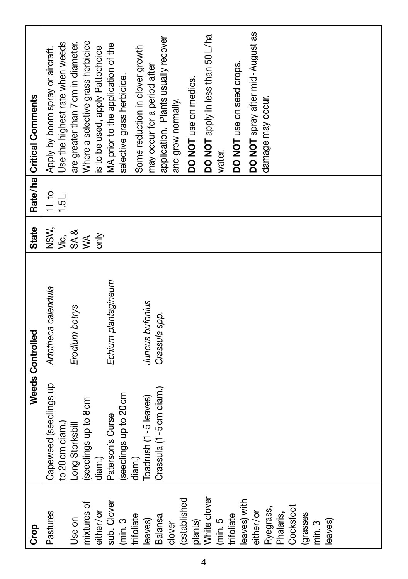| Some reduction in clover growth<br>s to be used, apply Pattochoice<br>DO NOT use on seed crops.<br>may occur for a period after<br>selective grass herbicide.<br>DO NOT use on medics.<br>damage may occur.<br>and grow normally.<br>water. | State<br>NSW,<br>Artotheca calendula<br>Weeds Controlled<br>Capeweed (seedlings up |  | 11 to | Apply by boom spray or aircraft.<br>Rate/ha Critical Comments         |
|---------------------------------------------------------------------------------------------------------------------------------------------------------------------------------------------------------------------------------------------|------------------------------------------------------------------------------------|--|-------|-----------------------------------------------------------------------|
| Where a selective grass herbicide<br>MA prior to the application of the                                                                                                                                                                     | SA&<br>ýέ,<br>Erodium botrys<br>to 20 cm diam.)<br>Long Storksbill                 |  | 1.5L  | Use the highest rate when weeds<br>are greater than 7 cm in diameter. |
| DO NOT spray after mid-August as<br>DO NOT apply in less than 50 L/ha<br>application. Plants usually recover                                                                                                                                | òη<br>$\leq$<br>(seedlings up to 8 cm<br>diam.)                                    |  |       |                                                                       |
|                                                                                                                                                                                                                                             | Echium plantagineum<br>Paterson's Curse                                            |  |       |                                                                       |
|                                                                                                                                                                                                                                             | (seedlings up to 20 cm                                                             |  |       |                                                                       |
|                                                                                                                                                                                                                                             | Juncus bufonius<br>Toadrush (1-5 leaves)<br>diam.)                                 |  |       |                                                                       |
|                                                                                                                                                                                                                                             | Crassula spp.<br>Crassula (1 -5 cm diam.)                                          |  |       |                                                                       |
|                                                                                                                                                                                                                                             |                                                                                    |  |       |                                                                       |
|                                                                                                                                                                                                                                             |                                                                                    |  |       |                                                                       |
|                                                                                                                                                                                                                                             |                                                                                    |  |       |                                                                       |
|                                                                                                                                                                                                                                             |                                                                                    |  |       |                                                                       |
|                                                                                                                                                                                                                                             |                                                                                    |  |       |                                                                       |
|                                                                                                                                                                                                                                             |                                                                                    |  |       |                                                                       |
|                                                                                                                                                                                                                                             |                                                                                    |  |       |                                                                       |
|                                                                                                                                                                                                                                             |                                                                                    |  |       |                                                                       |
|                                                                                                                                                                                                                                             |                                                                                    |  |       |                                                                       |
|                                                                                                                                                                                                                                             |                                                                                    |  |       |                                                                       |
|                                                                                                                                                                                                                                             |                                                                                    |  |       |                                                                       |
|                                                                                                                                                                                                                                             |                                                                                    |  |       |                                                                       |
|                                                                                                                                                                                                                                             |                                                                                    |  |       |                                                                       |
|                                                                                                                                                                                                                                             |                                                                                    |  |       |                                                                       |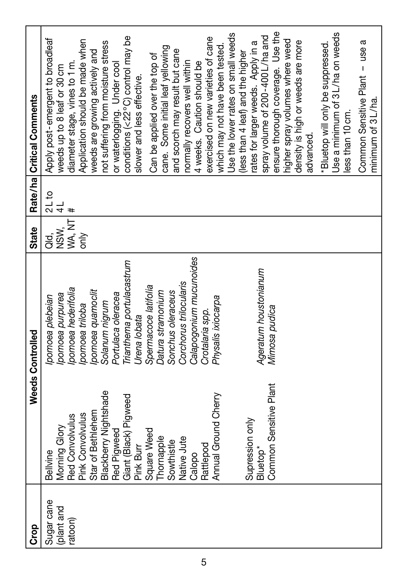| <b>Grap</b> |                                                | Weeds Controlled          | State    |                      | Rate/ha Critical Comments                           |
|-------------|------------------------------------------------|---------------------------|----------|----------------------|-----------------------------------------------------|
| Sugar cane  | Bellvine                                       | pomoea plebeian           | ag.<br>T | 2L to                | Apply post-emergent to broadleaf                    |
| plant and   | Morning Glory                                  | pomoea purpurea           | NSW,     | $\frac{1}{4}$        | weeds up to 8 leaf or 30 cm                         |
| ratoon)     | <b>Red Convolvulus</b>                         | pomoea hederifolia        | WA, NT   | $\ddot{\phantom{1}}$ | diameter stage, vines to 1 m.                       |
|             | Pink Convolvulus                               | pomoea triloba            | only     |                      | Application should be made when                     |
|             | Star of Bethlehem                              | pomoea quamoclit          |          |                      | weeds are growing actively and                      |
|             | Blackberry Nightshade                          | Solanum nigrum            |          |                      | not suffering from moisture stress                  |
|             | Red Pigweed                                    | Portulaca oleracea        |          |                      | or waterlogging. Under cool                         |
|             | Giant (Black) Pigweed                          | Trianthema portulacastrum |          |                      | conditions (<22°C) control may be                   |
|             | Pink Burr                                      | Urena lobata              |          |                      | slower and less effective.                          |
|             | Square Weed                                    | Spermacoce latifolia      |          |                      | Can be applied over the top of                      |
|             | hornapple                                      | Datura stramonium         |          |                      | cane. Some initial leaf yellowing                   |
|             | Sowthistle                                     | Sonchus oleraceus         |          |                      | and scorch may result but cane                      |
|             | Native Jute                                    | Corchorus trilocularis    |          |                      | normally recovers well within                       |
|             | Calopo                                         | Calapogonium mucunoides   |          |                      | 4 weeks. Caution should be                          |
|             | Rattlepod                                      | Crotalaria spp.           |          |                      | exercised on new varieties of cane                  |
|             | Annual Ground Cherry                           | Physalis ixiocarpa        |          |                      | which may not have been tested.                     |
|             |                                                |                           |          |                      | Use the lower rates on small weeds                  |
|             |                                                |                           |          |                      | less than 4 leaf) and the higher                    |
|             | Supression only                                |                           |          |                      | ates for larger weeds. Apply in a                   |
|             | Common Sensitive Plant<br>Bluetop <sup>*</sup> | Ageratum houstonianum     |          |                      | spray volume of 200-400 L/ha and                    |
|             |                                                | Mimosa pudica             |          |                      | ensure thorough coverage. Use the                   |
|             |                                                |                           |          |                      | higher spray volumes where weed                     |
|             |                                                |                           |          |                      | density is high or weeds are more                   |
|             |                                                |                           |          |                      | advanced.                                           |
|             |                                                |                           |          |                      | *Bluetop will only be suppressed.                   |
|             |                                                |                           |          |                      | Use a minimum of 3L/ha on weeds                     |
|             |                                                |                           |          |                      | less than 10 cm.                                    |
|             |                                                |                           |          |                      | Common Sensitive Plant - use a<br>minimum of 3L/ha. |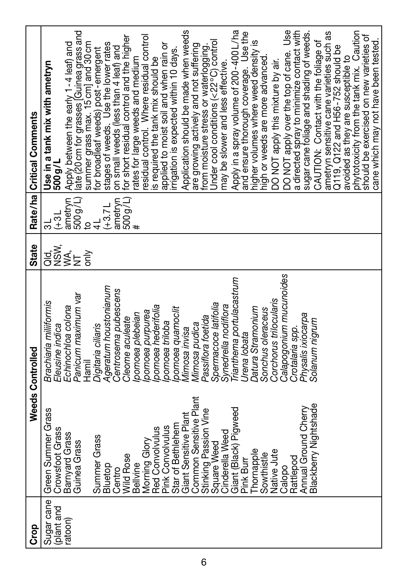| Rate/ha Critical Comments | Use in a tank mix with ametryn<br>500 g/L | late (20 cm for grasses [Guinea grass and<br>Apply between the early 1-4 leaf) and | summer grass max. 15 cm] and 30 cm<br>for broadleaf weeds) post-emergent | stages of weeds. Use the lower rates<br>on small weeds (less than 4 leaf) and | for short residual control and the higher | rates for large weeds and medium | residual control. Where residual control<br>is required the tank mix should be | applied to moist soil and when rain or | rrigation is expected within 10 days. | Application should be made when weeds | are growing actively and not suffering<br>from moisture stress or waterlogging. | Jnder cool conditions (<22°C) control | may be slower and less effective. | Apply in a spray volume of 200-400L/ha<br>and ensure thorough coverage. Use the |              | higher volumes where weed density is | high or weeds are more advanced. | DO NOT apply this mixture by air. | DO NOT apply over the top of cane. Use     | a directed spray to minimize contact with<br>sugar cane foliage and shading of weeds. | CAUTION: Contact with the foliage of | ametryn sensitive cane varieties such as | Q119, Q122 and H56-752 should be | phytotoxicity from the tank mix. Caution<br>avoided as they are susceptible to | should be exercised on new varieties of | cane which may not have been tested. |
|---------------------------|-------------------------------------------|------------------------------------------------------------------------------------|--------------------------------------------------------------------------|-------------------------------------------------------------------------------|-------------------------------------------|----------------------------------|--------------------------------------------------------------------------------|----------------------------------------|---------------------------------------|---------------------------------------|---------------------------------------------------------------------------------|---------------------------------------|-----------------------------------|---------------------------------------------------------------------------------|--------------|--------------------------------------|----------------------------------|-----------------------------------|--------------------------------------------|---------------------------------------------------------------------------------------|--------------------------------------|------------------------------------------|----------------------------------|--------------------------------------------------------------------------------|-----------------------------------------|--------------------------------------|
|                           | $16+$                                     | 500 g/L)<br>ametryn<br>$\overline{6}$                                              |                                                                          | $(+3.71)$                                                                     | 500 g/L)<br>ametryn                       |                                  |                                                                                |                                        |                                       |                                       |                                                                                 |                                       |                                   |                                                                                 |              |                                      |                                  |                                   |                                            |                                                                                       |                                      |                                          |                                  |                                                                                |                                         |                                      |
| State                     | agw<br>89                                 | ≸<br>≶E<br>δÑ                                                                      |                                                                          |                                                                               |                                           |                                  |                                                                                |                                        |                                       |                                       |                                                                                 |                                       |                                   |                                                                                 |              |                                      |                                  |                                   |                                            |                                                                                       |                                      |                                          |                                  |                                                                                |                                         |                                      |
| Weeds Controlled          | Brachiaria miliiformis<br>Eleusine indica | Panicum maximum var<br>Echinochloa colona<br>Tamil<br>Hamil                        | Digitaria ciliaris                                                       | Ageratum houstonianum                                                         | Centrosema pubescens<br>Cleome aculeate   | pomoea plebeian                  | pomoea hederifolia<br>pomoea purpurea                                          | pomoea triloba                         | pomoea quamoclit                      | <b>Mimosa</b> invisa                  | Passiflora foetida<br>Mimosa pudica                                             | Spermacoce latifolia                  | Synedrella nodiflora              | rianthema portulacastrum                                                        | Jrena lobata | <b>Datura Stramonium</b>             | Sonchus oleraceus                | Corchorus trilocularis            | Calapogonium mucunoides<br>Crotalaria spp. | Physalis ixiocarpa                                                                    | Solanum nigrum                       |                                          |                                  |                                                                                |                                         |                                      |
|                           | Green Summer Grass<br>Crowsfoot Grass     | Barnyard Grass<br>Guinea Grass                                                     | Summer Grass                                                             | Bluetop                                                                       | Wild Rose<br>Centro                       | <b>Bellvine</b>                  | <b>Red Convolvulus</b><br>Morning Glory                                        | <b>Pink Convolvulus</b>                | Star of Bethlehem                     | Giant Sensitive Plant                 | Common Sensitive Plant<br>Stinking Passion Vine                                 | Square Weed                           | Cinderella Weed                   | Giant (Black) Pigweed                                                           | Pink Burr    | Thomapple                            | Sowthistle                       | Native Jute                       | Rattlepod<br>Calopo                        | Annual Ground Cherry                                                                  | Blackberry Nightshade                |                                          |                                  |                                                                                |                                         |                                      |
| Crop                      | Sugar cane<br>plant and                   | ratoon)                                                                            |                                                                          |                                                                               |                                           |                                  |                                                                                |                                        |                                       |                                       |                                                                                 |                                       |                                   |                                                                                 |              |                                      |                                  |                                   |                                            |                                                                                       |                                      |                                          |                                  |                                                                                |                                         |                                      |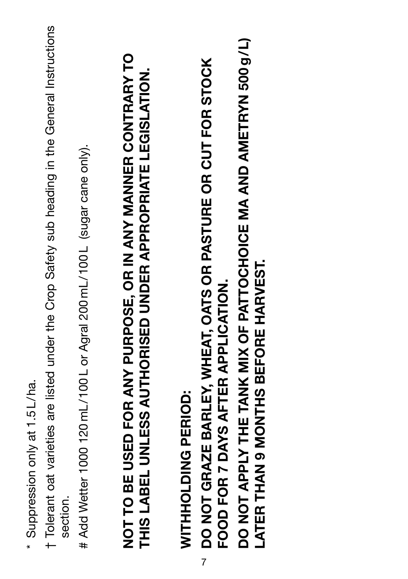- \* Suppression only at 1.5 L/ha. \* Suppression only at 1.5 L/ha.
- † Tolerant oat varieties are listed under the Crop Safety sub heading in the General Instructions t Tolerant oat varieties are listed under the Crop Safety sub heading in the General Instructions section.
- # Add Wetter 1000 120 mL/100 L or Agral 200 mL/100 L (sugar cane only). # Add Wetter 1000 120 mL/100 L or Agral 200 mL/100 L (sugar cane only).

# **NOT TO BE USED FOR ANY PURPOSE, OR IN ANY MANNER CONTRARY TO**  NOT TO BE USED FOR ANY PURPOSE, OR IN ANY MANNER CONTRARY TO THIS LABEL UNLESS AUTHORISED UNDER APPROPRIATE LEGISLATION. **THIS LABEL UNLESS AUTHORISED UNDER APPROPRIATE LEGISLATION.**

WITHHOLDING PERIOD: **WITHHOLDING PERIOD:**

**DO NOT GRAZE BARLEY, WHEAT, OATS OR PASTURE OR CUT FOR STOCK**  DO NOT GRAZE BARLEY, WHEAT, OATS OR PASTURE OR CUT FOR STOCK FOOD FOR 7 DAYS AFTER APPLICATION. **FOOD FOR 7 DAYS AFTER APPLICATION.** 7

**DO NOT APPLY THE TANK MIX OF PATTOCHOICE MA AND AMETRYN 500 g/L)**  DO NOT APPLY THE TANK MIX OF PATTOCHOICE MA AND AMETRYN 500 g/L) **LATER THAN 9 MONTHS BEFORE HARVEST. LATER THAN 9 MONTHS BEFORE HARVEST.**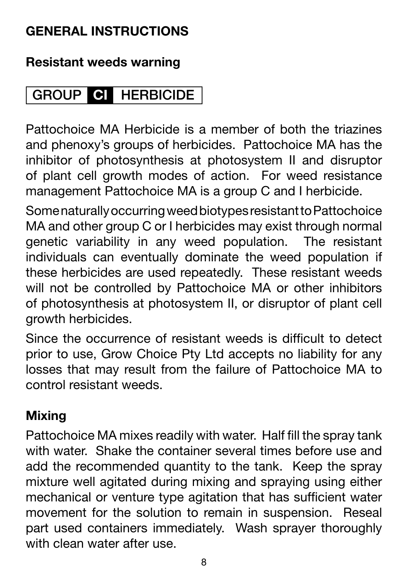#### **GENERAL INSTRUCTIONS**

#### **Resistant weeds warning**

#### **CI GROUP HERBICIDE**

Pattochoice MA Herbicide is a member of both the triazines and phenoxy's groups of herbicides. Pattochoice MA has the inhibitor of photosynthesis at photosystem II and disruptor of plant cell growth modes of action. For weed resistance management Pattochoice MA is a group C and I herbicide.

Some naturally occurring weed biotypes resistant to Pattochoice MA and other group C or I herbicides may exist through normal genetic variability in any weed population. The resistant individuals can eventually dominate the weed population if these herbicides are used repeatedly. These resistant weeds will not be controlled by Pattochoice MA or other inhibitors of photosynthesis at photosystem II, or disruptor of plant cell growth herbicides.

Since the occurrence of resistant weeds is difficult to detect prior to use, Grow Choice Pty Ltd accepts no liability for any losses that may result from the failure of Pattochoice MA to control resistant weeds.

#### **Mixing**

Pattochoice MA mixes readily with water. Half fill the spray tank with water. Shake the container several times before use and add the recommended quantity to the tank. Keep the spray mixture well agitated during mixing and spraying using either mechanical or venture type agitation that has sufficient water movement for the solution to remain in suspension. Reseal part used containers immediately. Wash sprayer thoroughly with clean water after use.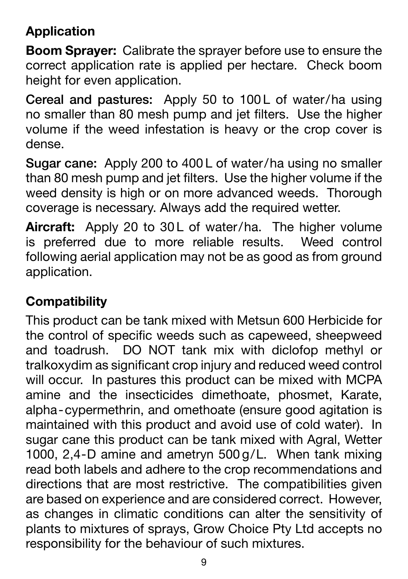#### **Application**

**Boom Sprayer:** Calibrate the sprayer before use to ensure the correct application rate is applied per hectare. Check boom height for even application.

Cereal and pastures: Apply 50 to 100L of water/ha using no smaller than 80 mesh pump and jet filters. Use the higher volume if the weed infestation is heavy or the crop cover is dense.

**Sugar cane:** Apply 200 to 400 L of water/ha using no smaller than 80 mesh pump and jet filters. Use the higher volume if the weed density is high or on more advanced weeds. Thorough coverage is necessary. Always add the required wetter.

Aircraft: Apply 20 to 30L of water/ha. The higher volume is preferred due to more reliable results. Weed control following aerial application may not be as good as from ground application.

#### **Compatibility**

This product can be tank mixed with Metsun 600 Herbicide for the control of specific weeds such as capeweed, sheepweed and toadrush. DO NOT tank mix with diclofop methyl or tralkoxydim as significant crop injury and reduced weed control will occur. In pastures this product can be mixed with MCPA amine and the insecticides dimethoate, phosmet, Karate, alpha-cypermethrin, and omethoate (ensure good agitation is maintained with this product and avoid use of cold water). In sugar cane this product can be tank mixed with Agral, Wetter 1000, 2,4-D amine and ametryn 500 g/L. When tank mixing read both labels and adhere to the crop recommendations and directions that are most restrictive. The compatibilities given are based on experience and are considered correct. However, as changes in climatic conditions can alter the sensitivity of plants to mixtures of sprays, Grow Choice Pty Ltd accepts no responsibility for the behaviour of such mixtures.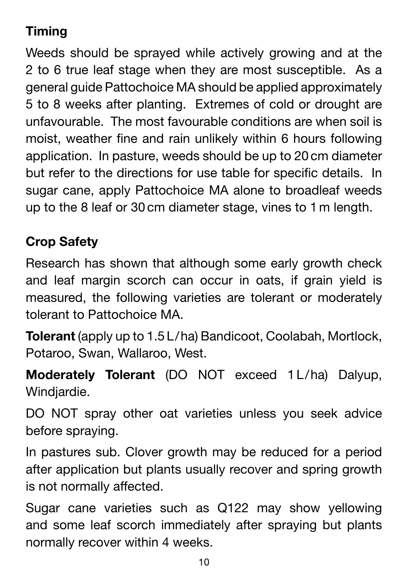#### **Timing**

Weeds should be sprayed while actively growing and at the 2 to 6 true leaf stage when they are most susceptible. As a general guide Pattochoice MA should be applied approximately 5 to 8 weeks after planting. Extremes of cold or drought are unfavourable. The most favourable conditions are when soil is moist, weather fine and rain unlikely within 6 hours following application. In pasture, weeds should be up to 20 cm diameter but refer to the directions for use table for specific details. In sugar cane, apply Pattochoice MA alone to broadleaf weeds up to the 8 leaf or 30 cm diameter stage, vines to 1 m length.

#### **Crop Safety**

Research has shown that although some early growth check and leaf margin scorch can occur in oats, if grain yield is measured, the following varieties are tolerant or moderately tolerant to Pattochoice MA.

**Tolerant** (apply up to 1.5 L/ha) Bandicoot, Coolabah, Mortlock, Potaroo, Swan, Wallaroo, West.

**Moderately Tolerant** (DO NOT exceed 1 L/ha) Dalyup, Windiardie.

DO NOT spray other oat varieties unless you seek advice before spraying.

In pastures sub. Clover growth may be reduced for a period after application but plants usually recover and spring growth is not normally affected.

Sugar cane varieties such as Q122 may show yellowing and some leaf scorch immediately after spraying but plants normally recover within 4 weeks.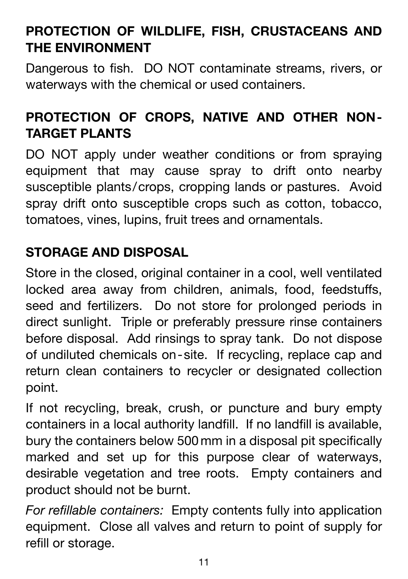#### **PROTECTION OF WILDLIFE, FISH, CRUSTACEANS AND THE ENVIRONMENT**

Dangerous to fish. DO NOT contaminate streams, rivers, or waterways with the chemical or used containers.

#### **PROTECTION OF CROPS, NATIVE AND OTHER NON-TARGET PLANTS**

DO NOT apply under weather conditions or from spraying equipment that may cause spray to drift onto nearby susceptible plants/crops, cropping lands or pastures. Avoid spray drift onto susceptible crops such as cotton, tobacco, tomatoes, vines, lupins, fruit trees and ornamentals.

#### **STORAGE AND DISPOSAL**

Store in the closed, original container in a cool, well ventilated locked area away from children, animals, food, feedstuffs, seed and fertilizers. Do not store for prolonged periods in direct sunlight. Triple or preferably pressure rinse containers before disposal. Add rinsings to spray tank. Do not dispose of undiluted chemicals on-site. If recycling, replace cap and return clean containers to recycler or designated collection point.

If not recycling, break, crush, or puncture and bury empty containers in a local authority landfill. If no landfill is available, bury the containers below 500 mm in a disposal pit specifically marked and set up for this purpose clear of waterways, desirable vegetation and tree roots. Empty containers and product should not be burnt.

*For refillable containers:* Empty contents fully into application equipment. Close all valves and return to point of supply for refill or storage.